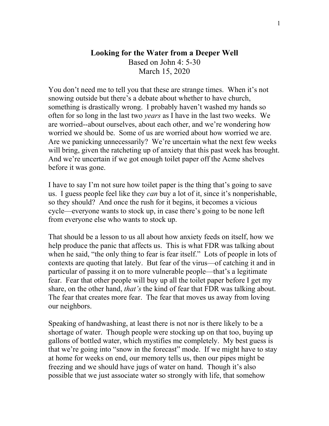## **Looking for the Water from a Deeper Well** Based on John 4: 5-30 March 15, 2020

You don't need me to tell you that these are strange times. When it's not snowing outside but there's a debate about whether to have church, something is drastically wrong. I probably haven't washed my hands so often for so long in the last two *years* as I have in the last two weeks. We are worried--about ourselves, about each other, and we're wondering how worried we should be. Some of us are worried about how worried we are. Are we panicking unnecessarily? We're uncertain what the next few weeks will bring, given the ratcheting up of anxiety that this past week has brought. And we're uncertain if we got enough toilet paper off the Acme shelves before it was gone.

I have to say I'm not sure how toilet paper is the thing that's going to save us. I guess people feel like they *can* buy a lot of it, since it's nonperishable, so they should? And once the rush for it begins, it becomes a vicious cycle—everyone wants to stock up, in case there's going to be none left from everyone else who wants to stock up.

That should be a lesson to us all about how anxiety feeds on itself, how we help produce the panic that affects us. This is what FDR was talking about when he said, "the only thing to fear is fear itself." Lots of people in lots of contexts are quoting that lately. But fear of the virus—of catching it and in particular of passing it on to more vulnerable people—that's a legitimate fear. Fear that other people will buy up all the toilet paper before I get my share, on the other hand, *that's* the kind of fear that FDR was talking about. The fear that creates more fear. The fear that moves us away from loving our neighbors.

Speaking of handwashing, at least there is not nor is there likely to be a shortage of water. Though people were stocking up on that too, buying up gallons of bottled water, which mystifies me completely. My best guess is that we're going into "snow in the forecast" mode. If we might have to stay at home for weeks on end, our memory tells us, then our pipes might be freezing and we should have jugs of water on hand. Though it's also possible that we just associate water so strongly with life, that somehow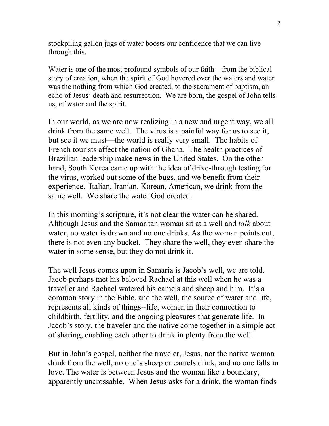stockpiling gallon jugs of water boosts our confidence that we can live through this.

Water is one of the most profound symbols of our faith—from the biblical story of creation, when the spirit of God hovered over the waters and water was the nothing from which God created, to the sacrament of baptism, an echo of Jesus' death and resurrection. We are born, the gospel of John tells us, of water and the spirit.

In our world, as we are now realizing in a new and urgent way, we all drink from the same well. The virus is a painful way for us to see it, but see it we must—the world is really very small. The habits of French tourists affect the nation of Ghana. The health practices of Brazilian leadership make news in the United States. On the other hand, South Korea came up with the idea of drive-through testing for the virus, worked out some of the bugs, and we benefit from their experience. Italian, Iranian, Korean, American, we drink from the same well. We share the water God created.

In this morning's scripture, it's not clear the water can be shared. Although Jesus and the Samaritan woman sit at a well and *talk* about water, no water is drawn and no one drinks. As the woman points out, there is not even any bucket. They share the well, they even share the water in some sense, but they do not drink it.

The well Jesus comes upon in Samaria is Jacob's well, we are told. Jacob perhaps met his beloved Rachael at this well when he was a traveller and Rachael watered his camels and sheep and him. It's a common story in the Bible, and the well, the source of water and life, represents all kinds of things--life, women in their connection to childbirth, fertility, and the ongoing pleasures that generate life. In Jacob's story, the traveler and the native come together in a simple act of sharing, enabling each other to drink in plenty from the well.

But in John's gospel, neither the traveler, Jesus, nor the native woman drink from the well, no one's sheep or camels drink, and no one falls in love. The water is between Jesus and the woman like a boundary, apparently uncrossable. When Jesus asks for a drink, the woman finds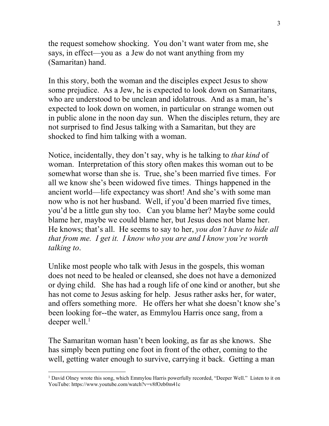the request somehow shocking. You don't want water from me, she says, in effect—you as a Jew do not want anything from my (Samaritan) hand.

In this story, both the woman and the disciples expect Jesus to show some prejudice. As a Jew, he is expected to look down on Samaritans, who are understood to be unclean and idolatrous. And as a man, he's expected to look down on women, in particular on strange women out in public alone in the noon day sun. When the disciples return, they are not surprised to find Jesus talking with a Samaritan, but they are shocked to find him talking with a woman.

Notice, incidentally, they don't say, why is he talking to *that kind* of woman. Interpretation of this story often makes this woman out to be somewhat worse than she is. True, she's been married five times. For all we know she's been widowed five times. Things happened in the ancient world—life expectancy was short! And she's with some man now who is not her husband. Well, if you'd been married five times, you'd be a little gun shy too. Can you blame her? Maybe some could blame her, maybe we could blame her, but Jesus does not blame her. He knows; that's all. He seems to say to her, *you don't have to hide all that from me. I get it. I know who you are and I know you're worth talking to*.

Unlike most people who talk with Jesus in the gospels, this woman does not need to be healed or cleansed, she does not have a demonized or dying child. She has had a rough life of one kind or another, but she has not come to Jesus asking for help. Jesus rather asks her, for water, and offers something more. He offers her what she doesn't know she's been looking for--the water, as Emmylou Harris once sang, from a deeper well. $<sup>1</sup>$  $<sup>1</sup>$  $<sup>1</sup>$ </sup>

The Samaritan woman hasn't been looking, as far as she knows. She has simply been putting one foot in front of the other, coming to the well, getting water enough to survive, carrying it back. Getting a man

<span id="page-2-0"></span><sup>&</sup>lt;sup>1</sup> David Olney wrote this song, which Emmylou Harris powerfully recorded, "Deeper Well." Listen to it on YouTube: https://www.youtube.com/watch?v=v8fOzb0m41c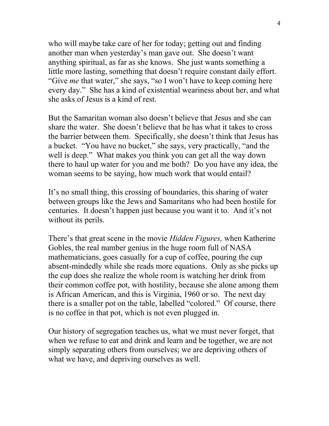who will maybe take care of her for today; getting out and finding another man when yesterday's man gave out. She doesn't want anything spiritual, as far as she knows. She just wants something a little more lasting, something that doesn't require constant daily effort. "Give *me* that water," she says, "so I won't have to keep coming here every day." She has a kind of existential weariness about her, and what she asks of Jesus is a kind of rest.

But the Samaritan woman also doesn't believe that Jesus and she can share the water. She doesn't believe that he has what it takes to cross the barrier between them. Specifically, she doesn't think that Jesus has a bucket. "You have no bucket," she says, very practically, "and the well is deep." What makes you think you can get all the way down there to haul up water for you and me both? Do you have any idea, the woman seems to be saying, how much work that would entail?

It's no small thing, this crossing of boundaries, this sharing of water between groups like the Jews and Samaritans who had been hostile for centuries. It doesn't happen just because you want it to. And it's not without its perils.

There's that great scene in the movie *Hidden Figures,* when Katherine Gobles, the real number genius in the huge room full of NASA mathematicians, goes casually for a cup of coffee, pouring the cup absent-mindedly while she reads more equations. Only as she picks up the cup does she realize the whole room is watching her drink from their common coffee pot, with hostility, because she alone among them is African American, and this is Virginia, 1960 or so. The next day there is a smaller pot on the table, labelled "colored." Of course, there is no coffee in that pot, which is not even plugged in.

Our history of segregation teaches us, what we must never forget, that when we refuse to eat and drink and learn and be together, we are not simply separating others from ourselves; we are depriving others of what we have, and depriving ourselves as well.